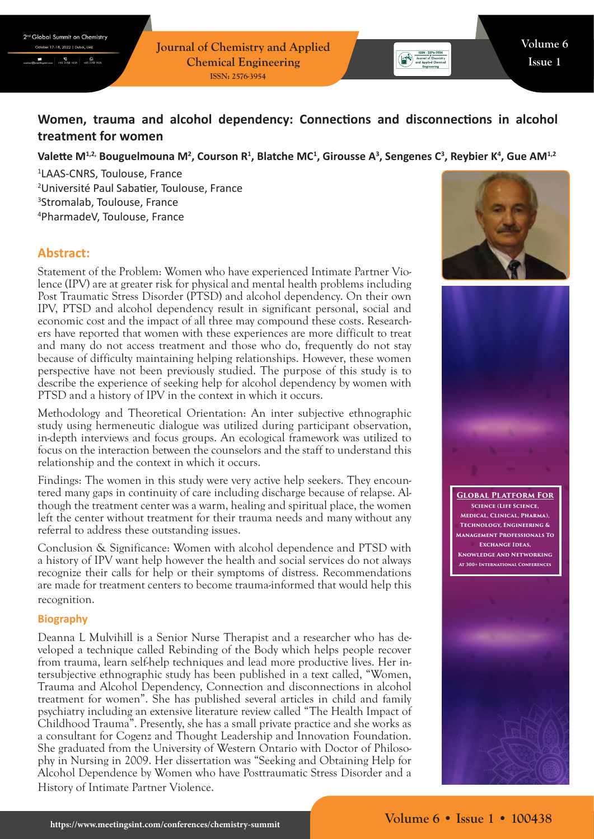**Journal of Chemistry and Applied Chemical Engineering ISSN: 2576-3954**

# **Women, trauma and alcohol dependency: Connections and disconnections in alcohol treatment for women**

## Valette M<sup>1,2,</sup> Bouguelmouna M<sup>2</sup>, Courson R<sup>1</sup>, Blatche MC<sup>1</sup>, Girousse A<sup>3</sup>, Sengenes C<sup>3</sup>, Reybier K<sup>4</sup>, Gue AM<sup>1,2</sup>

 LAAS-CNRS, Toulouse, France Université Paul Sabatier, Toulouse, France Stromalab, Toulouse, France PharmadeV, Toulouse, France

# **Abstract:**

Statement of the Problem: Women who have experienced Intimate Partner Violence (IPV) are at greater risk for physical and mental health problems including Post Traumatic Stress Disorder (PTSD) and alcohol dependency. On their own IPV, PTSD and alcohol dependency result in significant personal, social and economic cost and the impact of all three may compound these costs. Researchers have reported that women with these experiences are more difficult to treat and many do not access treatment and those who do, frequently do not stay because of difficulty maintaining helping relationships. However, these women perspective have not been previously studied. The purpose of this study is to describe the experience of seeking help for alcohol dependency by women with PTSD and a history of IPV in the context in which it occurs.

Methodology and Theoretical Orientation: An inter subjective ethnographic study using hermeneutic dialogue was utilized during participant observation, in-depth interviews and focus groups. An ecological framework was utilized to focus on the interaction between the counselors and the staff to understand this relationship and the context in which it occurs.

Findings: The women in this study were very active help seekers. They encountered many gaps in continuity of care including discharge because of relapse. Although the treatment center was a warm, healing and spiritual place, the women left the center without treatment for their trauma needs and many without any referral to address these outstanding issues.

Conclusion & Significance: Women with alcohol dependence and PTSD with a history of IPV want help however the health and social services do not always recognize their calls for help or their symptoms of distress. Recommendations are made for treatment centers to become trauma-informed that would help this recognition.

#### **Biography**

Deanna L Mulvihill is a Senior Nurse Therapist and a researcher who has developed a technique called Rebinding of the Body which helps people recover from trauma, learn self-help techniques and lead more productive lives. Her intersubjective ethnographic study has been published in a text called, "Women, Trauma and Alcohol Dependency, Connection and disconnections in alcohol treatment for women". She has published several articles in child and family psychiatry including an extensive literature review called "The Health Impact of Childhood Trauma". Presently, she has a small private practice and she works as a consultant for Cogenz and Thought Leadership and Innovation Foundation. She graduated from the University of Western Ontario with Doctor of Philosophy in Nursing in 2009. Her dissertation was "Seeking and Obtaining Help for Alcohol Dependence by Women who have Posttraumatic Stress Disorder and a History of Intimate Partner Violence.



 $\begin{tabular}{|c|c|c|c|} \hline & & ISBN : 2576-3954 \\ \hline & \textbf{Journal of Chemistry} \\ \hline \end{tabular}$ 



**Global Platform For Science (Life Science, Medical, Clinical, Pharma), Technology, Engineering & Management Professionals To Exchange Ideas, Knowledge And Networking At 300+ International Conferences**